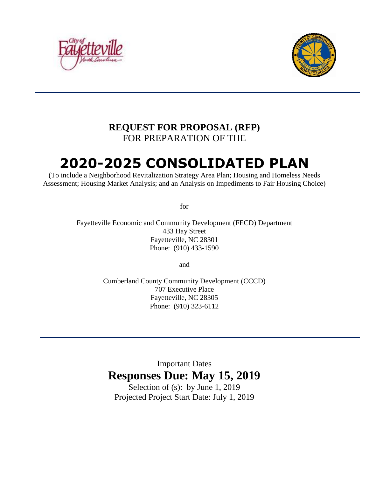



## **REQUEST FOR PROPOSAL (RFP)** FOR PREPARATION OF THE

# **2020-2025 CONSOLIDATED PLAN**

(To include a Neighborhood Revitalization Strategy Area Plan; Housing and Homeless Needs Assessment; Housing Market Analysis; and an Analysis on Impediments to Fair Housing Choice)

for

Fayetteville Economic and Community Development (FECD) Department 433 Hay Street Fayetteville, NC 28301 Phone: (910) 433-1590

and

Cumberland County Community Development (CCCD) 707 Executive Place Fayetteville, NC 28305 Phone: (910) 323-6112

Important Dates **Responses Due: May 15, 2019**

Selection of (s): by June 1, 2019 Projected Project Start Date: July 1, 2019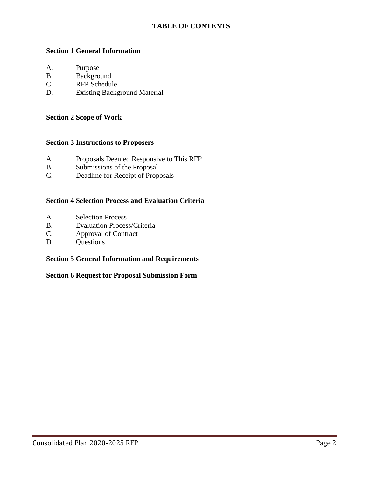## **TABLE OF CONTENTS**

## **Section 1 General Information**

- A. Purpose
- B. Background
- C. RFP Schedule
- D. Existing Background Material

#### **Section 2 Scope of Work**

#### **Section 3 Instructions to Proposers**

- A. Proposals Deemed Responsive to This RFP
- B. Submissions of the Proposal
- C. Deadline for Receipt of Proposals

## **Section 4 Selection Process and Evaluation Criteria**

- A. Selection Process
- B. Evaluation Process/Criteria
- C. Approval of Contract
- D. Ouestions

## **Section 5 General Information and Requirements**

#### **Section 6 Request for Proposal Submission Form**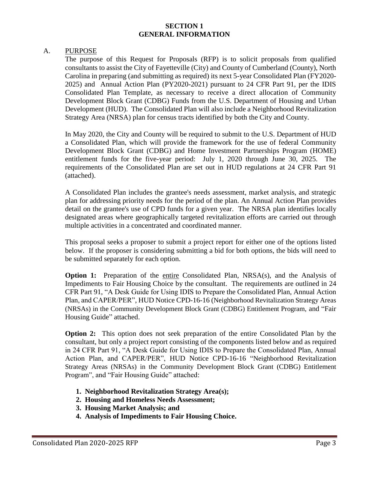### **SECTION 1 GENERAL INFORMATION**

#### A. PURPOSE

The purpose of this Request for Proposals (RFP) is to solicit proposals from qualified consultants to assist the City of Fayetteville (City) and County of Cumberland (County), North Carolina in preparing (and submitting as required) its next 5-year Consolidated Plan (FY2020- 2025) and Annual Action Plan (PY2020-2021) pursuant to 24 CFR Part 91, per the IDIS Consolidated Plan Template, as necessary to receive a direct allocation of Community Development Block Grant (CDBG) Funds from the U.S. Department of Housing and Urban Development (HUD). The Consolidated Plan will also include a Neighborhood Revitalization Strategy Area (NRSA) plan for census tracts identified by both the City and County.

In May 2020, the City and County will be required to submit to the U.S. Department of HUD a Consolidated Plan, which will provide the framework for the use of federal Community Development Block Grant (CDBG) and Home Investment Partnerships Program (HOME) entitlement funds for the five-year period: July 1, 2020 through June 30, 2025. The requirements of the Consolidated Plan are set out in HUD regulations at 24 CFR Part 91 (attached).

A Consolidated Plan includes the grantee's needs assessment, market analysis, and strategic plan for addressing priority needs for the period of the plan. An Annual Action Plan provides detail on the grantee's use of CPD funds for a given year. The NRSA plan identifies locally designated areas where geographically targeted revitalization efforts are carried out through multiple activities in a concentrated and coordinated manner.

This proposal seeks a proposer to submit a project report for either one of the options listed below. If the proposer is considering submitting a bid for both options, the bids will need to be submitted separately for each option.

**Option 1:** Preparation of the entire Consolidated Plan, NRSA(s), and the Analysis of Impediments to Fair Housing Choice by the consultant. The requirements are outlined in 24 CFR Part 91, "A Desk Guide for Using IDIS to Prepare the Consolidated Plan, Annual Action Plan, and CAPER/PER", HUD Notice CPD-16-16 (Neighborhood Revitalization Strategy Areas (NRSAs) in the Community Development Block Grant (CDBG) Entitlement Program, and "Fair Housing Guide" attached.

**Option 2:** This option does not seek preparation of the entire Consolidated Plan by the consultant, but only a project report consisting of the components listed below and as required in 24 CFR Part 91, "A Desk Guide for Using IDIS to Prepare the Consolidated Plan, Annual Action Plan, and CAPER/PER", HUD Notice CPD-16-16 "Neighborhood Revitalization Strategy Areas (NRSAs) in the Community Development Block Grant (CDBG) Entitlement Program", and "Fair Housing Guide" attached:

- **1. Neighborhood Revitalization Strategy Area(s);**
- **2. Housing and Homeless Needs Assessment;**
- **3. Housing Market Analysis; and**
- **4. Analysis of Impediments to Fair Housing Choice.**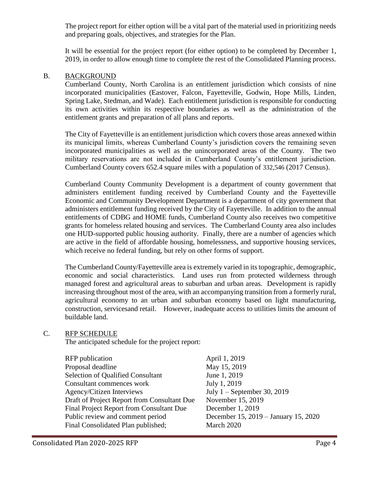The project report for either option will be a vital part of the material used in prioritizing needs and preparing goals, objectives, and strategies for the Plan.

It will be essential for the project report (for either option) to be completed by December 1, 2019, in order to allow enough time to complete the rest of the Consolidated Planning process.

#### B. BACKGROUND

Cumberland County, North Carolina is an entitlement jurisdiction which consists of nine incorporated municipalities (Eastover, Falcon, Fayetteville, Godwin, Hope Mills, Linden, Spring Lake, Stedman, and Wade). Each entitlement jurisdiction is responsible for conducting its own activities within its respective boundaries as well as the administration of the entitlement grants and preparation of all plans and reports.

The City of Fayetteville is an entitlement jurisdiction which covers those areas annexed within its municipal limits, whereas Cumberland County's jurisdiction covers the remaining seven incorporated municipalities as well as the unincorporated areas of the County. The two military reservations are not included in Cumberland County's entitlement jurisdiction. Cumberland County covers 652.4 square miles with a population of 332,546 (2017 Census).

Cumberland County Community Development is a department of county government that administers entitlement funding received by Cumberland County and the Fayetteville Economic and Community Development Department is a department of city government that administers entitlement funding received by the City of Fayetteville. In addition to the annual entitlements of CDBG and HOME funds, Cumberland County also receives two competitive grants for homeless related housing and services. The Cumberland County area also includes one HUD-supported public housing authority. Finally, there are a number of agencies which are active in the field of affordable housing, homelessness, and supportive housing services, which receive no federal funding, but rely on other forms of support.

The Cumberland County/Fayetteville area is extremely varied in its topographic, demographic, economic and social characteristics. Land uses run from protected wilderness through managed forest and agricultural areas to suburban and urban areas. Development is rapidly increasing throughout most of the area, with an accompanying transition from a formerly rural, agricultural economy to an urban and suburban economy based on light manufacturing, construction, servicesand retail. However, inadequate access to utilities limits the amount of buildable land.

#### C. RFP SCHEDULE

The anticipated schedule for the project report:

| April 1, 2019                        |
|--------------------------------------|
| May 15, 2019                         |
| June 1, 2019                         |
| July 1, 2019                         |
| July $1$ – September 30, 2019        |
| November 15, 2019                    |
| December 1, 2019                     |
| December 15, 2019 – January 15, 2020 |
| March 2020                           |
|                                      |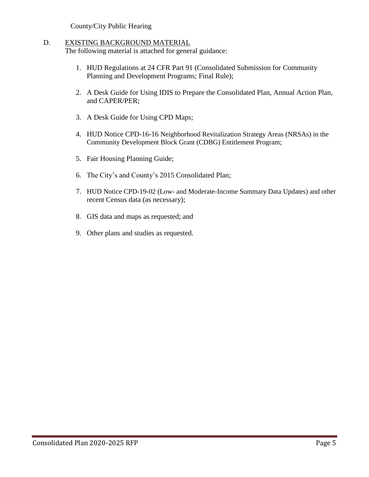County/City Public Hearing

#### D. EXISTING BACKGROUND MATERIAL

The following material is attached for general guidance:

- 1. HUD Regulations at 24 CFR Part 91 (Consolidated Submission for Community Planning and Development Programs; Final Rule);
- 2. A Desk Guide for Using IDIS to Prepare the Consolidated Plan, Annual Action Plan, and CAPER/PER;
- 3. A Desk Guide for Using CPD Maps;
- 4. HUD Notice CPD-16-16 Neighborhood Revitalization Strategy Areas (NRSAs) in the Community Development Block Grant (CDBG) Entitlement Program;
- 5. Fair Housing Planning Guide;
- 6. The City's and County's 2015 Consolidated Plan;
- 7. HUD Notice CPD-19-02 (Low- and Moderate-Income Summary Data Updates) and other recent Census data (as necessary);
- 8. GIS data and maps as requested; and
- 9. Other plans and studies as requested.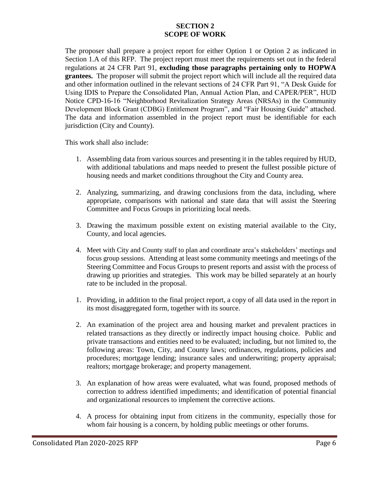## **SECTION 2 SCOPE OF WORK**

The proposer shall prepare a project report for either Option 1 or Option 2 as indicated in Section 1.A of this RFP. The project report must meet the requirements set out in the federal regulations at 24 CFR Part 91, **excluding those paragraphs pertaining only to HOPWA grantees.** The proposer will submit the project report which will include all the required data and other information outlined in the relevant sections of 24 CFR Part 91, "A Desk Guide for Using IDIS to Prepare the Consolidated Plan, Annual Action Plan, and CAPER/PER", HUD Notice CPD-16-16 "Neighborhood Revitalization Strategy Areas (NRSAs) in the Community Development Block Grant (CDBG) Entitlement Program", and "Fair Housing Guide" attached. The data and information assembled in the project report must be identifiable for each jurisdiction (City and County).

This work shall also include:

- 1. Assembling data from various sources and presenting it in the tables required by HUD, with additional tabulations and maps needed to present the fullest possible picture of housing needs and market conditions throughout the City and County area.
- 2. Analyzing, summarizing, and drawing conclusions from the data, including, where appropriate, comparisons with national and state data that will assist the Steering Committee and Focus Groups in prioritizing local needs.
- 3. Drawing the maximum possible extent on existing material available to the City, County, and local agencies.
- 4. Meet with City and County staff to plan and coordinate area's stakeholders' meetings and focus group sessions. Attending at least some community meetings and meetings of the Steering Committee and Focus Groups to present reports and assist with the process of drawing up priorities and strategies. This work may be billed separately at an hourly rate to be included in the proposal.
- 1. Providing, in addition to the final project report, a copy of all data used in the report in its most disaggregated form, together with its source.
- 2. An examination of the project area and housing market and prevalent practices in related transactions as they directly or indirectly impact housing choice. Public and private transactions and entities need to be evaluated; including, but not limited to, the following areas: Town, City, and County laws; ordinances, regulations, policies and procedures; mortgage lending; insurance sales and underwriting; property appraisal; realtors; mortgage brokerage; and property management.
- 3. An explanation of how areas were evaluated, what was found, proposed methods of correction to address identified impediments; and identification of potential financial and organizational resources to implement the corrective actions.
- 4. A process for obtaining input from citizens in the community, especially those for whom fair housing is a concern, by holding public meetings or other forums.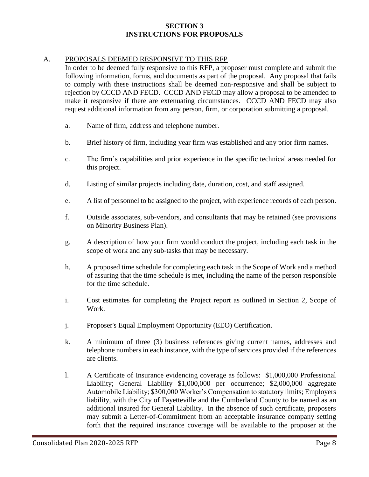#### **SECTION 3 INSTRUCTIONS FOR PROPOSALS**

#### A. PROPOSALS DEEMED RESPONSIVE TO THIS RFP

In order to be deemed fully responsive to this RFP, a proposer must complete and submit the following information, forms, and documents as part of the proposal. Any proposal that fails to comply with these instructions shall be deemed non-responsive and shall be subject to rejection by CCCD AND FECD. CCCD AND FECD may allow a proposal to be amended to make it responsive if there are extenuating circumstances. CCCD AND FECD may also request additional information from any person, firm, or corporation submitting a proposal.

- a. Name of firm, address and telephone number.
- b. Brief history of firm, including year firm was established and any prior firm names.
- c. The firm's capabilities and prior experience in the specific technical areas needed for this project.
- d. Listing of similar projects including date, duration, cost, and staff assigned.
- e. A list of personnel to be assigned to the project, with experience records of each person.
- f. Outside associates, sub-vendors, and consultants that may be retained (see provisions on Minority Business Plan).
- g. A description of how your firm would conduct the project, including each task in the scope of work and any sub-tasks that may be necessary.
- h. A proposed time schedule for completing each task in the Scope of Work and a method of assuring that the time schedule is met, including the name of the person responsible for the time schedule.
- i. Cost estimates for completing the Project report as outlined in Section 2, Scope of Work.
- j. Proposer's Equal Employment Opportunity (EEO) Certification.
- k. A minimum of three (3) business references giving current names, addresses and telephone numbers in each instance, with the type of services provided if the references are clients.
- l. A Certificate of Insurance evidencing coverage as follows: \$1,000,000 Professional Liability; General Liability \$1,000,000 per occurrence; \$2,000,000 aggregate Automobile Liability; \$300,000 Worker's Compensation to statutory limits; Employers liability, with the City of Fayetteville and the Cumberland County to be named as an additional insured for General Liability. In the absence of such certificate, proposers may submit a Letter-of-Commitment from an acceptable insurance company setting forth that the required insurance coverage will be available to the proposer at the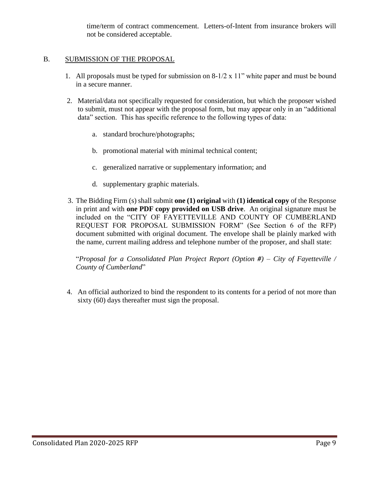time/term of contract commencement. Letters-of-Intent from insurance brokers will not be considered acceptable.

## B. SUBMISSION OF THE PROPOSAL

- 1. All proposals must be typed for submission on 8-1/2 x 11" white paper and must be bound in a secure manner.
- 2. Material/data not specifically requested for consideration, but which the proposer wished to submit, must not appear with the proposal form, but may appear only in an "additional data" section. This has specific reference to the following types of data:
	- a. standard brochure/photographs;
	- b. promotional material with minimal technical content;
	- c. generalized narrative or supplementary information; and
	- d. supplementary graphic materials.
- 3. The Bidding Firm (s) shall submit **one (1) original** with **(1) identical copy** of the Response in print and with **one PDF copy provided on USB drive**. An original signature must be included on the "CITY OF FAYETTEVILLE AND COUNTY OF CUMBERLAND REQUEST FOR PROPOSAL SUBMISSION FORM" (See Section 6 of the RFP) document submitted with original document. The envelope shall be plainly marked with the name, current mailing address and telephone number of the proposer, and shall state:

"*Proposal for a Consolidated Plan Project Report (Option #) – City of Fayetteville / County of Cumberland*"

4. An official authorized to bind the respondent to its contents for a period of not more than sixty (60) days thereafter must sign the proposal.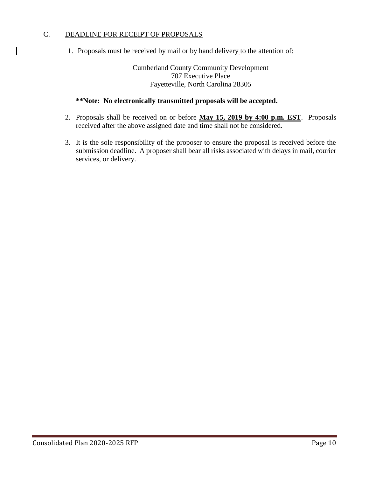#### C. DEADLINE FOR RECEIPT OF PROPOSALS

1. Proposals must be received by mail or by hand delivery to the attention of:

Cumberland County Community Development 707 Executive Place Fayetteville, North Carolina 28305

#### **\*\*Note: No electronically transmitted proposals will be accepted.**

- 2. Proposals shall be received on or before **May 15, 2019 by 4:00 p.m. EST**. Proposals received after the above assigned date and time shall not be considered.
- 3. It is the sole responsibility of the proposer to ensure the proposal is received before the submission deadline. A proposer shall bear all risks associated with delays in mail, courier services, or delivery.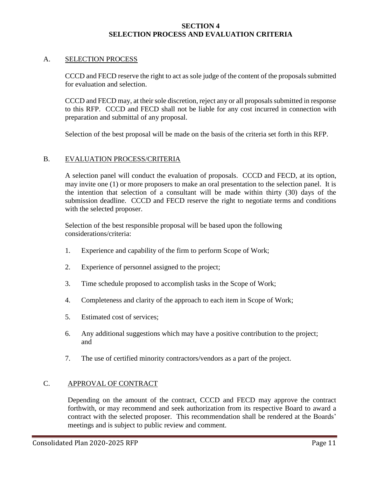#### **SECTION 4 SELECTION PROCESS AND EVALUATION CRITERIA**

#### A. SELECTION PROCESS

CCCD and FECD reserve the right to act as sole judge of the content of the proposals submitted for evaluation and selection.

CCCD and FECD may, at their sole discretion, reject any or all proposals submitted in response to this RFP. CCCD and FECD shall not be liable for any cost incurred in connection with preparation and submittal of any proposal.

Selection of the best proposal will be made on the basis of the criteria set forth in this RFP.

#### B. EVALUATION PROCESS/CRITERIA

A selection panel will conduct the evaluation of proposals. CCCD and FECD, at its option, may invite one (1) or more proposers to make an oral presentation to the selection panel. It is the intention that selection of a consultant will be made within thirty (30) days of the submission deadline. CCCD and FECD reserve the right to negotiate terms and conditions with the selected proposer.

Selection of the best responsible proposal will be based upon the following considerations/criteria:

- 1. Experience and capability of the firm to perform Scope of Work;
- 2. Experience of personnel assigned to the project;
- 3. Time schedule proposed to accomplish tasks in the Scope of Work;
- 4. Completeness and clarity of the approach to each item in Scope of Work;
- 5. Estimated cost of services;
- 6. Any additional suggestions which may have a positive contribution to the project; and
- 7. The use of certified minority contractors/vendors as a part of the project.

#### C. APPROVAL OF CONTRACT

Depending on the amount of the contract, CCCD and FECD may approve the contract forthwith, or may recommend and seek authorization from its respective Board to award a contract with the selected proposer. This recommendation shall be rendered at the Boards' meetings and is subject to public review and comment.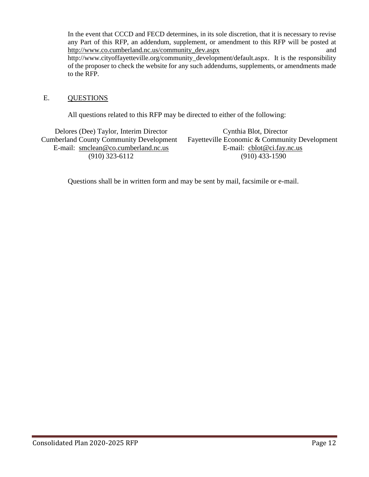In the event that CCCD and FECD determines, in its sole discretion, that it is necessary to revise any Part of this RFP, an addendum, supplement, or amendment to this RFP will be posted at [http://www.co.cumberland.nc.us/community\\_dev.aspx](http://www.co.cumberland.nc.us/community_dev.aspx) and http://www.cityoffayetteville.org/community\_development/default.aspx. It is the responsibility of the proposer to check the website for any such addendums, supplements, or amendments made to the RFP.

#### E. QUESTIONS

All questions related to this RFP may be directed to either of the following:

Delores (Dee) Taylor, Interim Director Cumberland County Community Development E-mail: [smclean@co.cumberland.nc.us](mailto:smclean@co.cumberland.nc.us) (910) 323-6112

Cynthia Blot, Director Fayetteville Economic & Community Development E-mail: cblot@ci.fay.nc.us (910) 433-1590

Questions shall be in written form and may be sent by mail, facsimile or e-mail.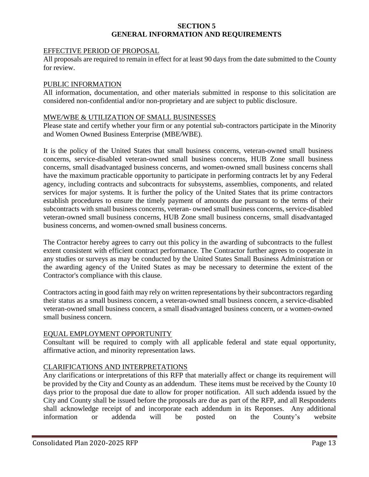#### **SECTION 5 GENERAL INFORMATION AND REQUIREMENTS**

#### EFFECTIVE PERIOD OF PROPOSAL

All proposals are required to remain in effect for at least 90 days from the date submitted to the County for review.

#### PUBLIC INFORMATION

All information, documentation, and other materials submitted in response to this solicitation are considered non-confidential and/or non-proprietary and are subject to public disclosure.

#### MWE/WBE & UTILIZATION OF SMALL BUSINESSES

Please state and certify whether your firm or any potential sub-contractors participate in the Minority and Women Owned Business Enterprise (MBE/WBE).

It is the policy of the United States that small business concerns, veteran-owned small business concerns, service-disabled veteran-owned small business concerns, HUB Zone small business concerns, small disadvantaged business concerns, and women-owned small business concerns shall have the maximum practicable opportunity to participate in performing contracts let by any Federal agency, including contracts and subcontracts for subsystems, assemblies, components, and related services for major systems. It is further the policy of the United States that its prime contractors establish procedures to ensure the timely payment of amounts due pursuant to the terms of their subcontracts with small business concerns, veteran- owned small business concerns, service-disabled veteran-owned small business concerns, HUB Zone small business concerns, small disadvantaged business concerns, and women-owned small business concerns.

The Contractor hereby agrees to carry out this policy in the awarding of subcontracts to the fullest extent consistent with efficient contract performance. The Contractor further agrees to cooperate in any studies or surveys as may be conducted by the United States Small Business Administration or the awarding agency of the United States as may be necessary to determine the extent of the Contractor's compliance with this clause.

Contractors acting in good faith may rely on written representations by their subcontractors regarding their status as a small business concern, a veteran-owned small business concern, a service-disabled veteran-owned small business concern, a small disadvantaged business concern, or a women-owned small business concern.

## EQUAL EMPLOYMENT OPPORTUNITY

Consultant will be required to comply with all applicable federal and state equal opportunity, affirmative action, and minority representation laws.

## CLARIFICATIONS AND INTERPRETATIONS

Any clarifications or interpretations of this RFP that materially affect or change its requirement will be provided by the City and County as an addendum. These items must be received by the County 10 days prior to the proposal due date to allow for proper notification. All such addenda issued by the City and County shall be issued before the proposals are due as part of the RFP, and all Respondents shall acknowledge receipt of and incorporate each addendum in its Reponses. Any additional information or addenda will be posted on the County's website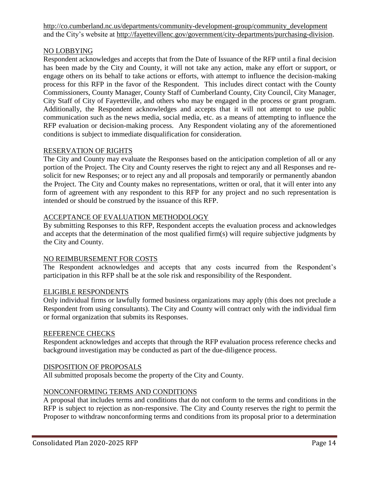http://co.cumberland.nc.us/departments/community-development-group/community\_development and the City's website at [http://fayettevillenc.gov/government/city-departments/purchasing-division.](http://fayettevillenc.gov/government/city-departments/purchasing-division)

## NO LOBBYING

Respondent acknowledges and accepts that from the Date of Issuance of the RFP until a final decision has been made by the City and County, it will not take any action, make any effort or support, or engage others on its behalf to take actions or efforts, with attempt to influence the decision-making process for this RFP in the favor of the Respondent. This includes direct contact with the County Commissioners, County Manager, County Staff of Cumberland County, City Council, City Manager, City Staff of City of Fayetteville, and others who may be engaged in the process or grant program. Additionally, the Respondent acknowledges and accepts that it will not attempt to use public communication such as the news media, social media, etc. as a means of attempting to influence the RFP evaluation or decision-making process. Any Respondent violating any of the aforementioned conditions is subject to immediate disqualification for consideration.

## RESERVATION OF RIGHTS

The City and County may evaluate the Responses based on the anticipation completion of all or any portion of the Project. The City and County reserves the right to reject any and all Responses and resolicit for new Responses; or to reject any and all proposals and temporarily or permanently abandon the Project. The City and County makes no representations, written or oral, that it will enter into any form of agreement with any respondent to this RFP for any project and no such representation is intended or should be construed by the issuance of this RFP.

## ACCEPTANCE OF EVALUATION METHODOLOGY

By submitting Responses to this RFP, Respondent accepts the evaluation process and acknowledges and accepts that the determination of the most qualified firm(s) will require subjective judgments by the City and County.

## NO REIMBURSEMENT FOR COSTS

The Respondent acknowledges and accepts that any costs incurred from the Respondent's participation in this RFP shall be at the sole risk and responsibility of the Respondent.

## ELIGIBLE RESPONDENTS

Only individual firms or lawfully formed business organizations may apply (this does not preclude a Respondent from using consultants). The City and County will contract only with the individual firm or formal organization that submits its Responses.

## REFERENCE CHECKS

Respondent acknowledges and accepts that through the RFP evaluation process reference checks and background investigation may be conducted as part of the due-diligence process.

## DISPOSITION OF PROPOSALS

All submitted proposals become the property of the City and County.

## NONCONFORMING TERMS AND CONDITIONS

A proposal that includes terms and conditions that do not conform to the terms and conditions in the RFP is subject to rejection as non-responsive. The City and County reserves the right to permit the Proposer to withdraw nonconforming terms and conditions from its proposal prior to a determination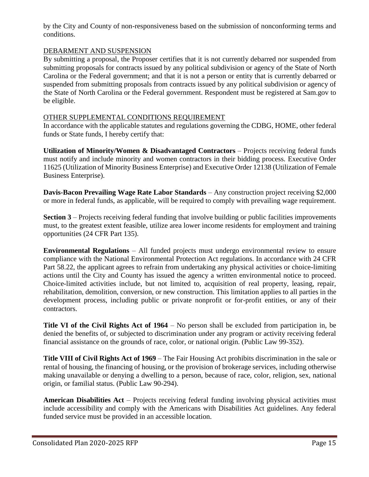by the City and County of non-responsiveness based on the submission of nonconforming terms and conditions.

## DEBARMENT AND SUSPENSION

By submitting a proposal, the Proposer certifies that it is not currently debarred nor suspended from submitting proposals for contracts issued by any political subdivision or agency of the State of North Carolina or the Federal government; and that it is not a person or entity that is currently debarred or suspended from submitting proposals from contracts issued by any political subdivision or agency of the State of North Carolina or the Federal government. Respondent must be registered at Sam.gov to be eligible.

## OTHER SUPPLEMENTAL CONDITIONS REQUIREMENT

In accordance with the applicable statutes and regulations governing the CDBG, HOME, other federal funds or State funds, I hereby certify that:

**Utilization of Minority/Women & Disadvantaged Contractors** – Projects receiving federal funds must notify and include minority and women contractors in their bidding process. Executive Order 11625 (Utilization of Minority Business Enterprise) and Executive Order 12138 (Utilization of Female Business Enterprise).

**Davis-Bacon Prevailing Wage Rate Labor Standards** – Any construction project receiving \$2,000 or more in federal funds, as applicable, will be required to comply with prevailing wage requirement.

**Section 3** – Projects receiving federal funding that involve building or public facilities improvements must, to the greatest extent feasible, utilize area lower income residents for employment and training opportunities (24 CFR Part 135).

**Environmental Regulations** – All funded projects must undergo environmental review to ensure compliance with the National Environmental Protection Act regulations. In accordance with 24 CFR Part 58.22, the applicant agrees to refrain from undertaking any physical activities or choice-limiting actions until the City and County has issued the agency a written environmental notice to proceed. Choice-limited activities include, but not limited to, acquisition of real property, leasing, repair, rehabilitation, demolition, conversion, or new construction. This limitation applies to all parties in the development process, including public or private nonprofit or for-profit entities, or any of their contractors.

**Title VI of the Civil Rights Act of 1964** – No person shall be excluded from participation in, be denied the benefits of, or subjected to discrimination under any program or activity receiving federal financial assistance on the grounds of race, color, or national origin. (Public Law 99-352).

**Title VIII of Civil Rights Act of 1969** – The Fair Housing Act prohibits discrimination in the sale or rental of housing, the financing of housing, or the provision of brokerage services, including otherwise making unavailable or denying a dwelling to a person, because of race, color, religion, sex, national origin, or familial status. (Public Law 90-294).

**American Disabilities Act** – Projects receiving federal funding involving physical activities must include accessibility and comply with the Americans with Disabilities Act guidelines. Any federal funded service must be provided in an accessible location.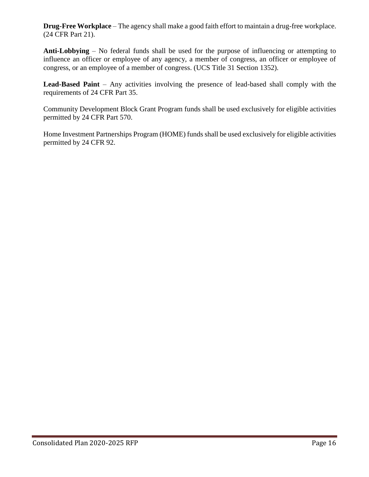**Drug-Free Workplace** – The agency shall make a good faith effort to maintain a drug-free workplace. (24 CFR Part 21).

**Anti-Lobbying** – No federal funds shall be used for the purpose of influencing or attempting to influence an officer or employee of any agency, a member of congress, an officer or employee of congress, or an employee of a member of congress. (UCS Title 31 Section 1352).

**Lead-Based Paint** – Any activities involving the presence of lead-based shall comply with the requirements of 24 CFR Part 35.

Community Development Block Grant Program funds shall be used exclusively for eligible activities permitted by 24 CFR Part 570.

Home Investment Partnerships Program (HOME) funds shall be used exclusively for eligible activities permitted by 24 CFR 92.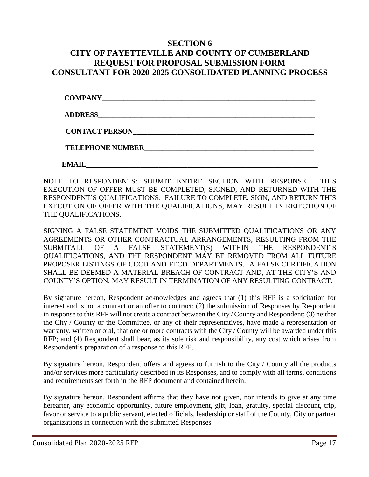## **SECTION 6 CITY OF FAYETTEVILLE AND COUNTY OF CUMBERLAND REQUEST FOR PROPOSAL SUBMISSION FORM CONSULTANT FOR 2020-2025 CONSOLIDATED PLANNING PROCESS**

| <b>COMPANY</b>          |  |  |
|-------------------------|--|--|
| <b>ADDRESS</b>          |  |  |
| CONTACT PERSON          |  |  |
| <b>TELEPHONE NUMBER</b> |  |  |
| <b>EMAIL</b>            |  |  |

NOTE TO RESPONDENTS: SUBMIT ENTIRE SECTION WITH RESPONSE. THIS EXECUTION OF OFFER MUST BE COMPLETED, SIGNED, AND RETURNED WITH THE RESPONDENT'S QUALIFICATIONS. FAILURE TO COMPLETE, SIGN, AND RETURN THIS EXECUTION OF OFFER WITH THE QUALIFICATIONS, MAY RESULT IN REJECTION OF THE QUALIFICATIONS.

SIGNING A FALSE STATEMENT VOIDS THE SUBMITTED QUALIFICATIONS OR ANY AGREEMENTS OR OTHER CONTRACTUAL ARRANGEMENTS, RESULTING FROM THE SUBMITALL OF A FALSE STATEMENT(S) WITHIN THE RESPONDENT'S QUALIFICATIONS, AND THE RESPONDENT MAY BE REMOVED FROM ALL FUTURE PROPOSER LISTINGS OF CCCD AND FECD DEPARTMENTS. A FALSE CERTIFICATION SHALL BE DEEMED A MATERIAL BREACH OF CONTRACT AND, AT THE CITY'S AND COUNTY'S OPTION, MAY RESULT IN TERMINATION OF ANY RESULTING CONTRACT.

By signature hereon, Respondent acknowledges and agrees that (1) this RFP is a solicitation for interest and is not a contract or an offer to contract; (2) the submission of Responses by Respondent in response to this RFP will not create a contract between the City / County and Respondent; (3) neither the City / County or the Committee, or any of their representatives, have made a representation or warranty, written or oral, that one or more contracts with the City / County will be awarded under this RFP; and (4) Respondent shall bear, as its sole risk and responsibility, any cost which arises from Respondent's preparation of a response to this RFP.

By signature hereon, Respondent offers and agrees to furnish to the City / County all the products and/or services more particularly described in its Responses, and to comply with all terms, conditions and requirements set forth in the RFP document and contained herein.

By signature hereon, Respondent affirms that they have not given, nor intends to give at any time hereafter, any economic opportunity, future employment, gift, loan, gratuity, special discount, trip, favor or service to a public servant, elected officials, leadership or staff of the County, City or partner organizations in connection with the submitted Responses.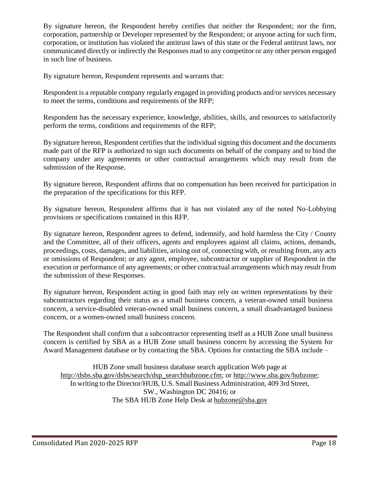By signature hereon, the Respondent hereby certifies that neither the Respondent; nor the firm, corporation, partnership or Developer represented by the Respondent; or anyone acting for such firm, corporation, or institution has violated the antitrust laws of this state or the Federal antitrust laws, nor communicated directly or indirectly the Responses mad to any competitor or any other person engaged in such line of business.

By signature hereon, Respondent represents and warrants that:

Respondent is a reputable company regularly engaged in providing products and/or services necessary to meet the terms, conditions and requirements of the RFP;

Respondent has the necessary experience, knowledge, abilities, skills, and resources to satisfactorily perform the terms, conditions and requirements of the RFP;

By signature hereon, Respondent certifies that the individual signing this document and the documents made part of the RFP is authorized to sign such documents on behalf of the company and to bind the company under any agreements or other contractual arrangements which may result from the submission of the Response.

By signature hereon, Respondent affirms that no compensation has been received for participation in the preparation of the specifications for this RFP.

By signature hereon, Respondent affirms that it has not violated any of the noted No-Lobbying provisions or specifications contained in this RFP.

By signature hereon, Respondent agrees to defend, indemnify, and hold harmless the City / County and the Committee, all of their officers, agents and employees against all claims, actions, demands, proceedings, costs, damages, and liabilities, arising out of, connecting with, or resulting from, any acts or omissions of Respondent; or any agent, employee, subcontractor or supplier of Respondent in the execution or performance of any agreements; or other contractual arrangements which may result from the submission of these Responses.

By signature hereon, Respondent acting in good faith may rely on written representations by their subcontractors regarding their status as a small business concern, a veteran-owned small business concern, a service-disabled veteran-owned small business concern, a small disadvantaged business concern, or a women-owned small business concern.

The Respondent shall confirm that a subcontractor representing itself as a HUB Zone small business concern is certified by SBA as a HUB Zone small business concern by accessing the System for Award Management database or by contacting the SBA. Options for contacting the SBA include –

HUB Zone small business database search application Web page at [http://dsbs.sba.gov/dsbs/search/dsp\\_searchhubzone.cfm;](http://dsbs.sba.gov/dsbs/search/dsp_searchhubzone.cfm) or [http://www.sba.gov/hubzone;](http://www.sba.gov/hubzone) In writing to the Director/HUB, U.S. Small Business Administration, 409 3rd Street, SW., Washington DC 20416; or The SBA HUB Zone Help Desk at [hubzone@sba.gov](mailto:hubzone@sba.gov)